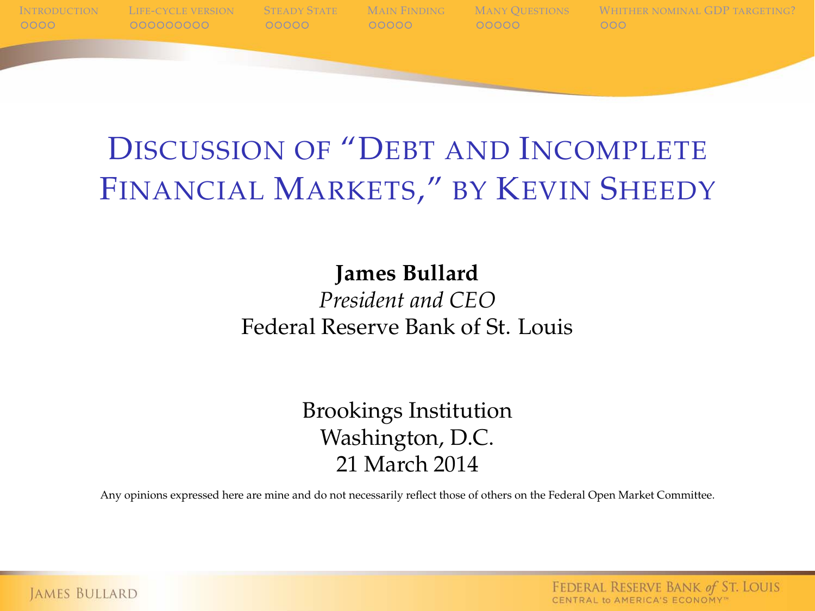

### DISCUSSION OF "DEBT AND INCOMPLETE FINANCIAL MARKETS," BY KEVIN SHEEDY

#### **James Bullard**

#### *President and CEO* Federal Reserve Bank of St. Louis

Brookings Institution Washington, D.C. 21 March 2014

Any opinions expressed here are mine and do not necessarily reflect those of others on the Federal Open Market Committee.

FEDERAL RESERVE BANK of ST. LOUIS CENTRAL to AMERICA'S ECONOMY"

**JAMES BULLARD**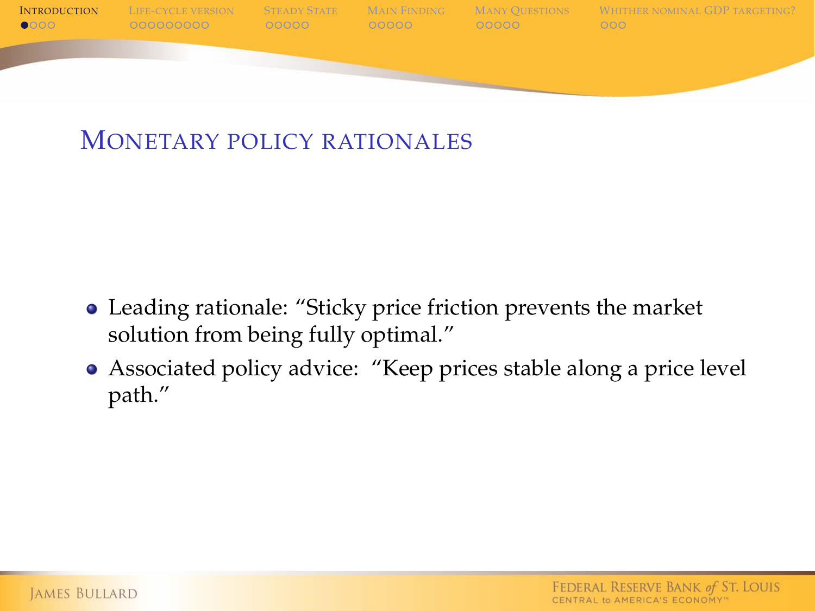

#### MONETARY POLICY RATIONALES

- Leading rationale: "Sticky price friction prevents the market solution from being fully optimal."
- <span id="page-1-0"></span>Associated policy advice: "Keep prices stable along a price level path."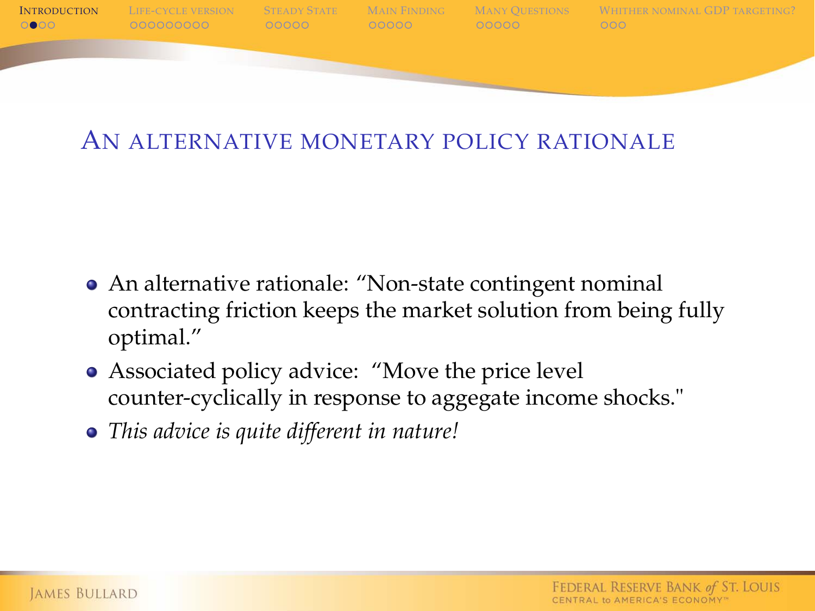

#### AN ALTERNATIVE MONETARY POLICY RATIONALE

- An alternative rationale: "Non-state contingent nominal contracting friction keeps the market solution from being fully optimal."
- Associated policy advice: "Move the price level counter-cyclically in response to aggegate income shocks."
- *This advice is quite different in nature!*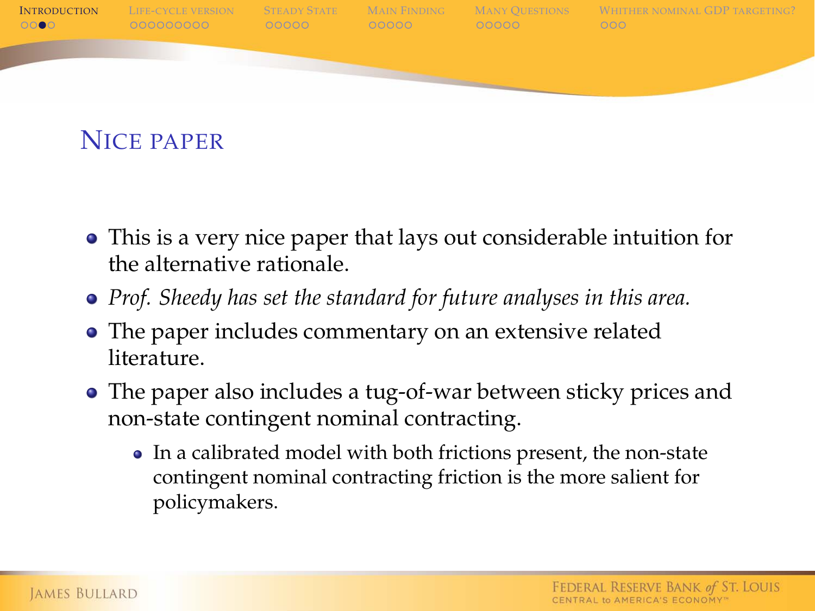

NICE PAPER

- This is a very nice paper that lays out considerable intuition for the alternative rationale.
- *Prof. Sheedy has set the standard for future analyses in this area.*
- The paper includes commentary on an extensive related literature.
- The paper also includes a tug-of-war between sticky prices and non-state contingent nominal contracting.
	- In a calibrated model with both frictions present, the non-state contingent nominal contracting friction is the more salient for policymakers.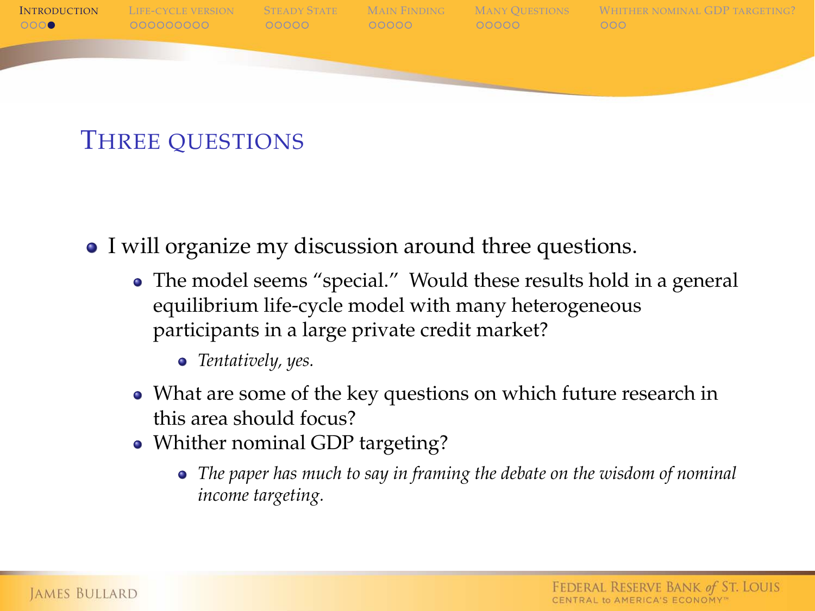

#### THREE QUESTIONS

- I will organize my discussion around three questions.
	- The model seems "special." Would these results hold in a general equilibrium life-cycle model with many heterogeneous participants in a large private credit market?
		- *Tentatively, yes.*
	- What are some of the key questions on which future research in this area should focus?
	- Whither nominal GDP targeting?
		- *The paper has much to say in framing the debate on the wisdom of nominal income targeting.*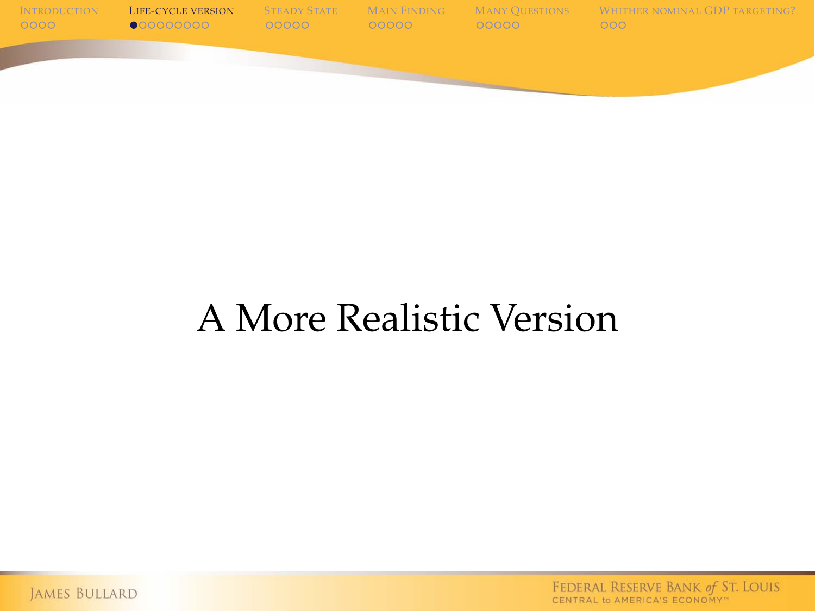

## A More Realistic Version

<span id="page-5-0"></span>JAMES BULLARD

FEDERAL RESERVE BANK of ST. LOUIS<br>CENTRAL to AMERICA'S ECONOMY"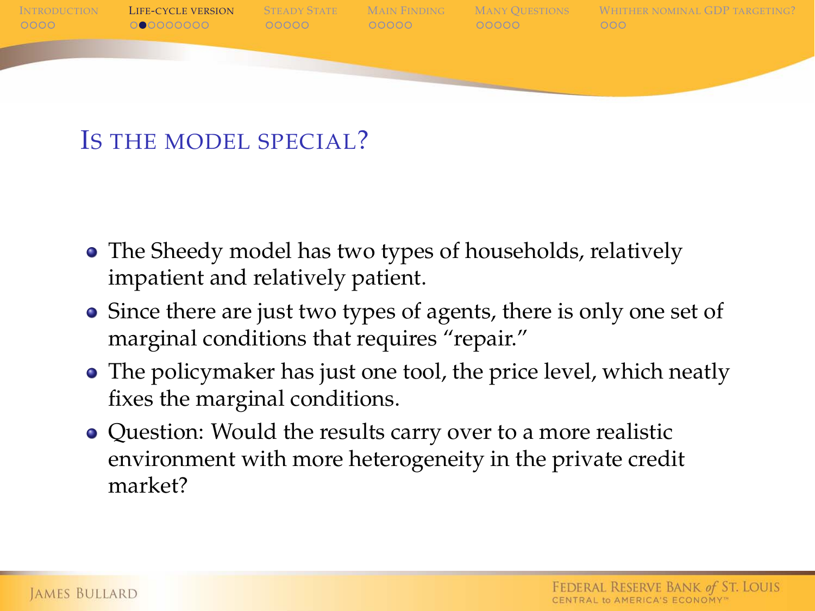

#### IS THE MODEL SPECIAL?

- The Sheedy model has two types of households, relatively impatient and relatively patient.
- Since there are just two types of agents, there is only one set of marginal conditions that requires "repair."
- The policymaker has just one tool, the price level, which neatly fixes the marginal conditions.
- Question: Would the results carry over to a more realistic environment with more heterogeneity in the private credit market?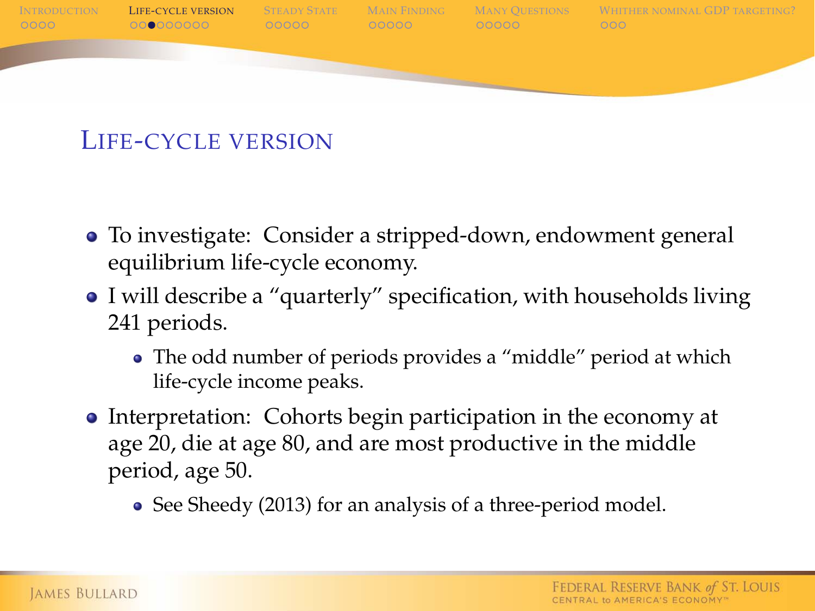

#### LIFE-CYCLE VERSION

- To investigate: Consider a stripped-down, endowment general equilibrium life-cycle economy.
- I will describe a "quarterly" specification, with households living 241 periods.
	- The odd number of periods provides a "middle" period at which life-cycle income peaks.
- Interpretation: Cohorts begin participation in the economy at age 20, die at age 80, and are most productive in the middle period, age 50.
	- See Sheedy (2013) for an analysis of a three-period model.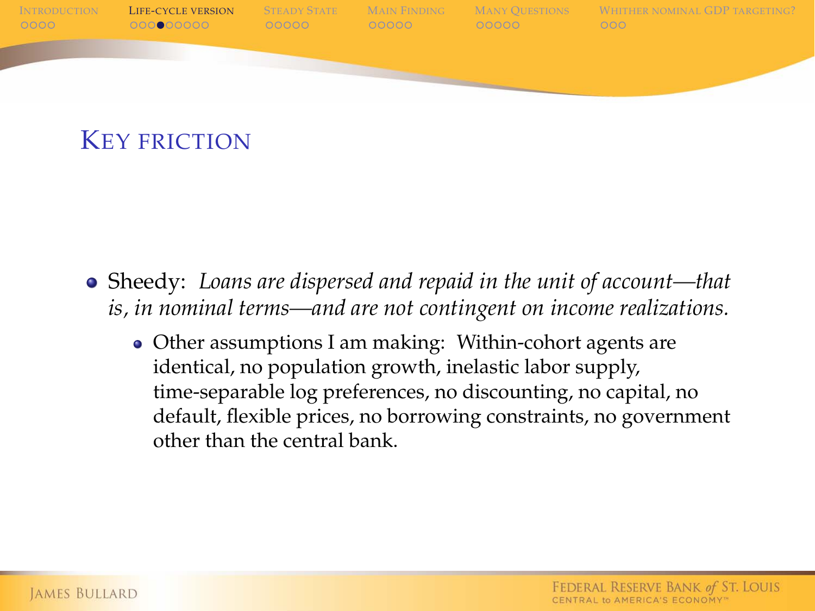

#### KEY FRICTION

- Sheedy: *Loans are dispersed and repaid in the unit of account—that is, in nominal terms—and are not contingent on income realizations.*
	- Other assumptions I am making: Within-cohort agents are identical, no population growth, inelastic labor supply, time-separable log preferences, no discounting, no capital, no default, flexible prices, no borrowing constraints, no government other than the central bank.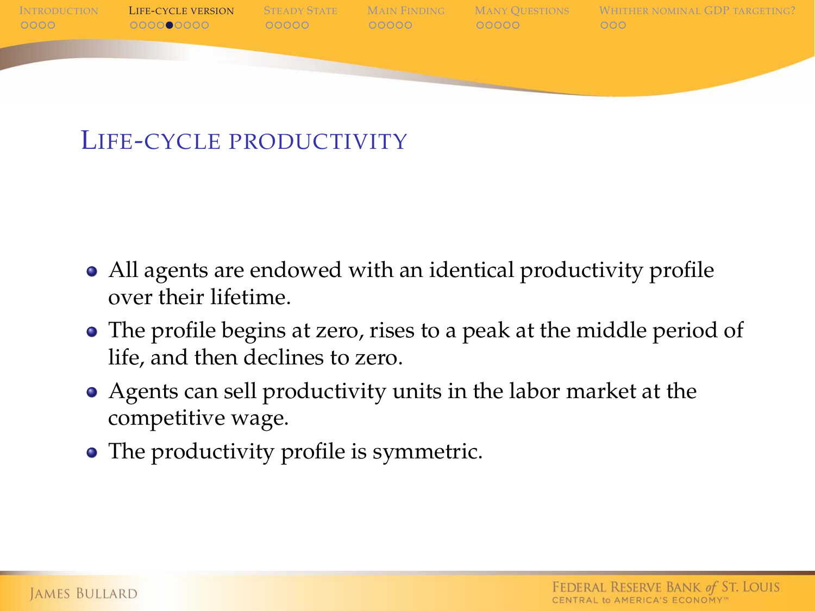

#### LIFE-CYCLE PRODUCTIVITY

- All agents are endowed with an identical productivity profile over their lifetime.
- The profile begins at zero, rises to a peak at the middle period of life, and then declines to zero.
- Agents can sell productivity units in the labor market at the competitive wage.
- The productivity profile is symmetric.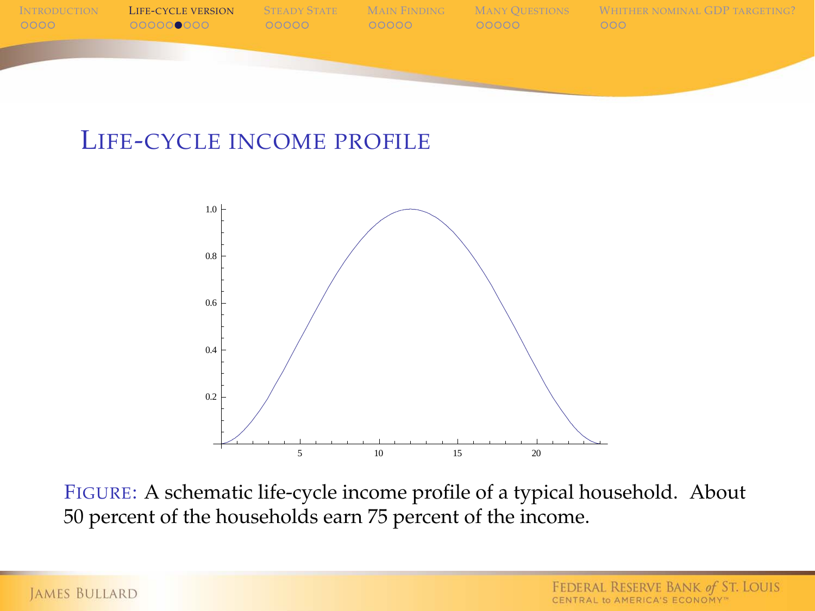

#### LIFE-CYCLE INCOME PROFILE



FIGURE: A schematic life-cycle income profile of a typical household. About 50 percent of the households earn 75 percent of the income.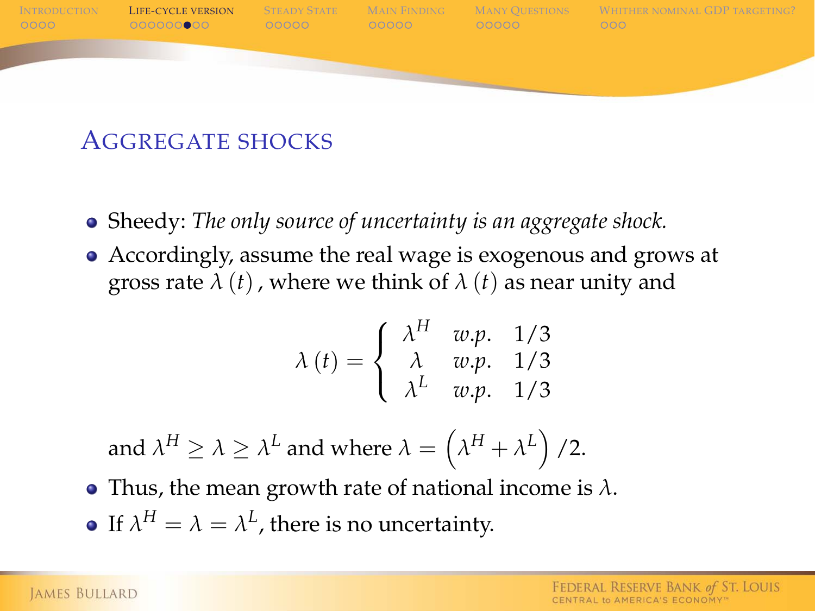

#### AGGREGATE SHOCKS

- Sheedy: *The only source of uncertainty is an aggregate shock.*
- Accordingly, assume the real wage is exogenous and grows at gross rate  $\lambda(t)$ , where we think of  $\lambda(t)$  as near unity and

$$
\lambda(t) = \begin{cases}\n\lambda^H & w.p. & 1/3 \\
\lambda & w.p. & 1/3 \\
\lambda^L & w.p. & 1/3\n\end{cases}
$$

and  $\lambda^H \ge \lambda \ge \lambda^L$  and where  $\lambda = \left(\lambda^H + \lambda^L\right)/2$ .

- Thus, the mean growth rate of national income is  $\lambda$ .
- If  $\lambda^H = \lambda = \lambda^L$ , there is no uncertainty.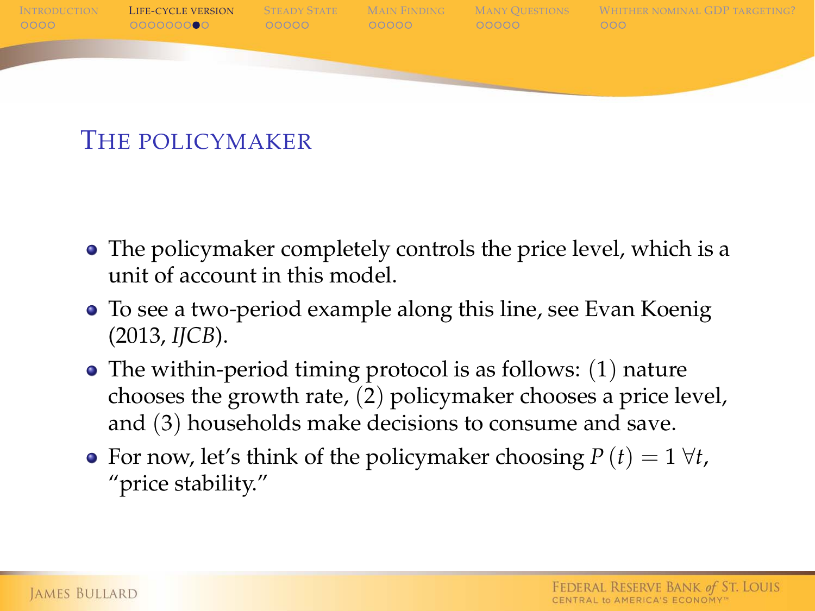

#### THE POLICYMAKER

- The policymaker completely controls the price level, which is a unit of account in this model.
- To see a two-period example along this line, see Evan Koenig (2013, *IJCB*).
- The within-period timing protocol is as follows: (1) nature chooses the growth rate, (2) policymaker chooses a price level, and (3) households make decisions to consume and save.
- For now, let's think of the policymaker choosing  $P(t) = 1 \forall t$ , "price stability."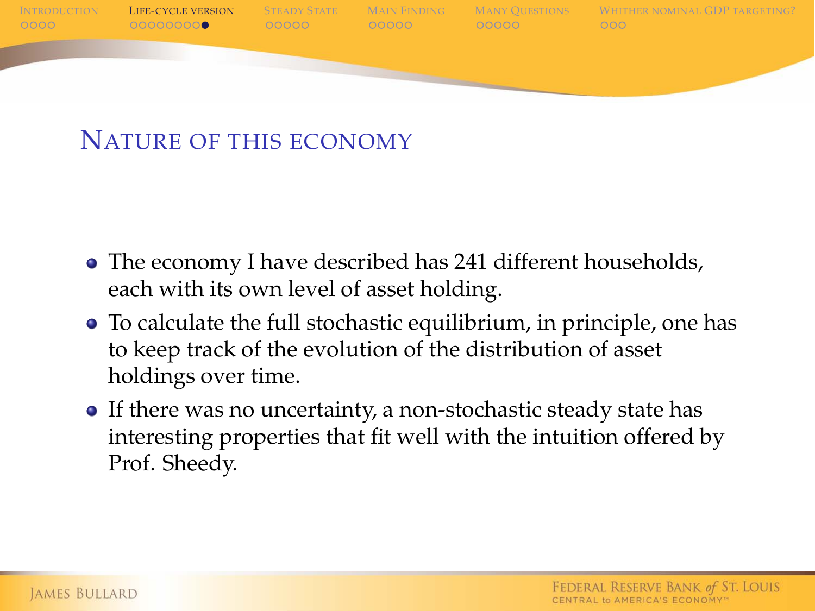

#### NATURE OF THIS ECONOMY

- The economy I have described has 241 different households, each with its own level of asset holding.
- To calculate the full stochastic equilibrium, in principle, one has to keep track of the evolution of the distribution of asset holdings over time.
- If there was no uncertainty, a non-stochastic steady state has interesting properties that fit well with the intuition offered by Prof. Sheedy.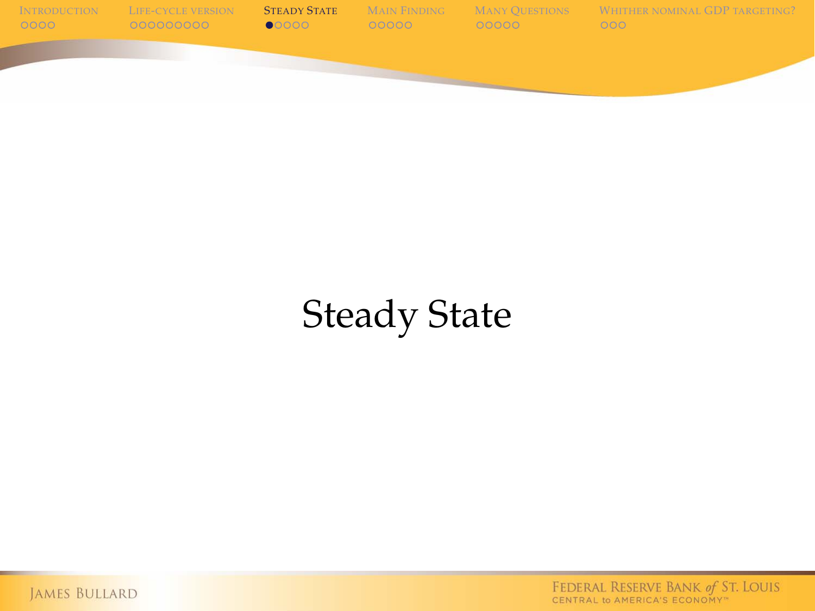

# Steady State

<span id="page-14-0"></span>JAMES BULLARD

FEDERAL RESERVE BANK of ST. LOUIS<br>CENTRAL to AMERICA'S ECONOMY"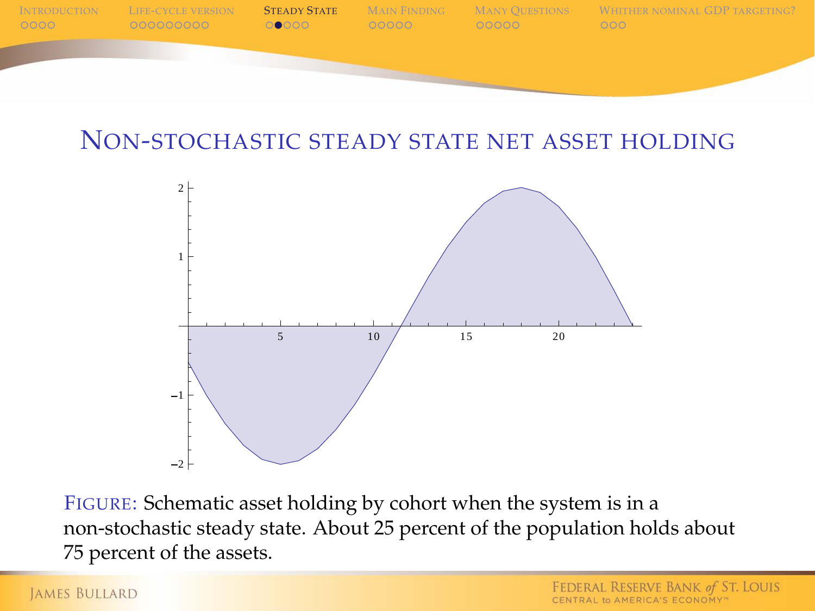

#### NON-STOCHASTIC STEADY STATE NET ASSET HOLDING



FIGURE: Schematic asset holding by cohort when the system is in a non-stochastic steady state. About 25 percent of the population holds about 75 percent of the assets.

#### **JAMES BULLARD**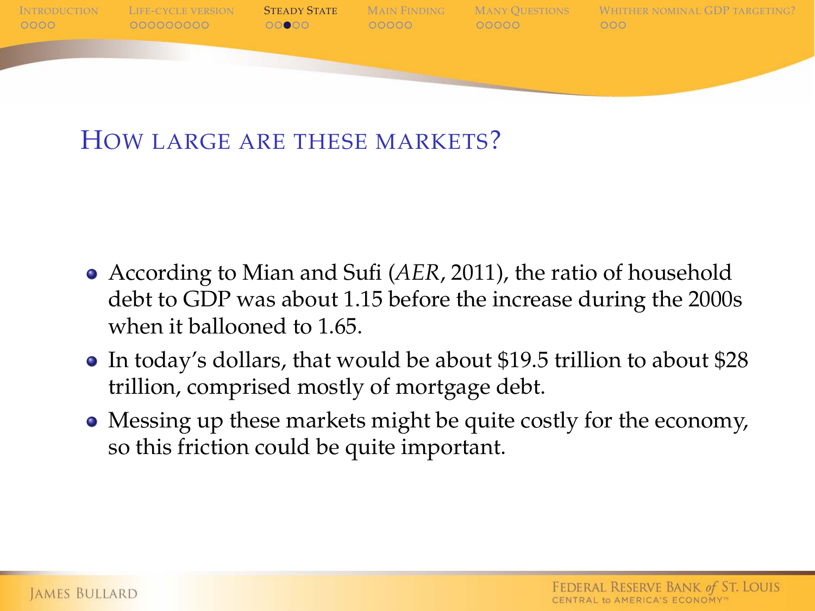

#### HOW LARGE ARE THESE MARKETS?

- According to Mian and Sufi (*AER*, 2011), the ratio of household debt to GDP was about 1.15 before the increase during the 2000s when it ballooned to 1.65
- In today's dollars, that would be about \$19.5 trillion to about \$28 trillion, comprised mostly of mortgage debt.
- Messing up these markets might be quite costly for the economy, so this friction could be quite important.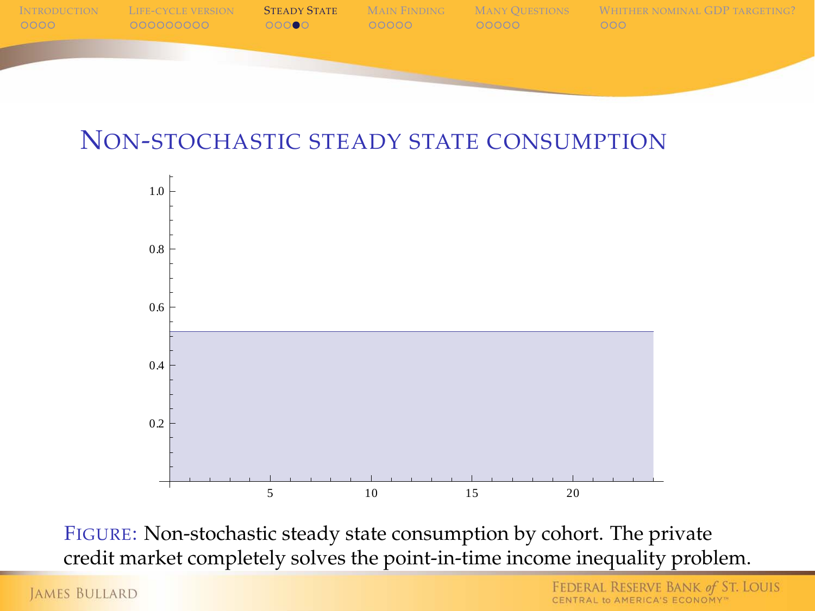

#### NON-STOCHASTIC STEADY STATE CONSUMPTION



FIGURE: Non-stochastic steady state consumption by cohort. The private credit market completely solves the point-in-time income inequality problem.

**JAMES BULLARD**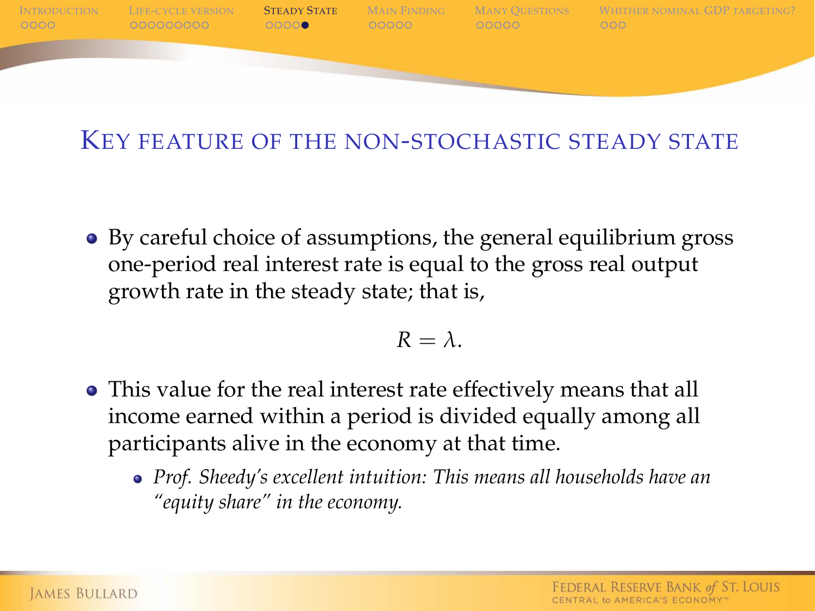

#### KEY FEATURE OF THE NON-STOCHASTIC STEADY STATE

By careful choice of assumptions, the general equilibrium gross one-period real interest rate is equal to the gross real output growth rate in the steady state; that is,

$$
R=\lambda.
$$

- This value for the real interest rate effectively means that all income earned within a period is divided equally among all participants alive in the economy at that time.
	- *Prof. Sheedy's excellent intuition: This means all households have an "equity share" in the economy.*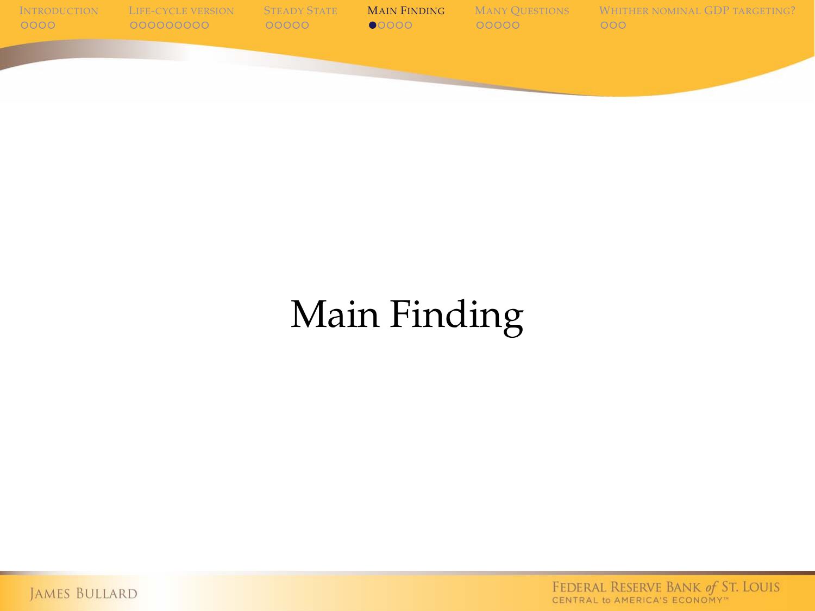

# Main Finding

<span id="page-19-0"></span>JAMES BULLARD

FEDERAL RESERVE BANK of ST. LOUIS<br>CENTRAL to AMERICA'S ECONOMY"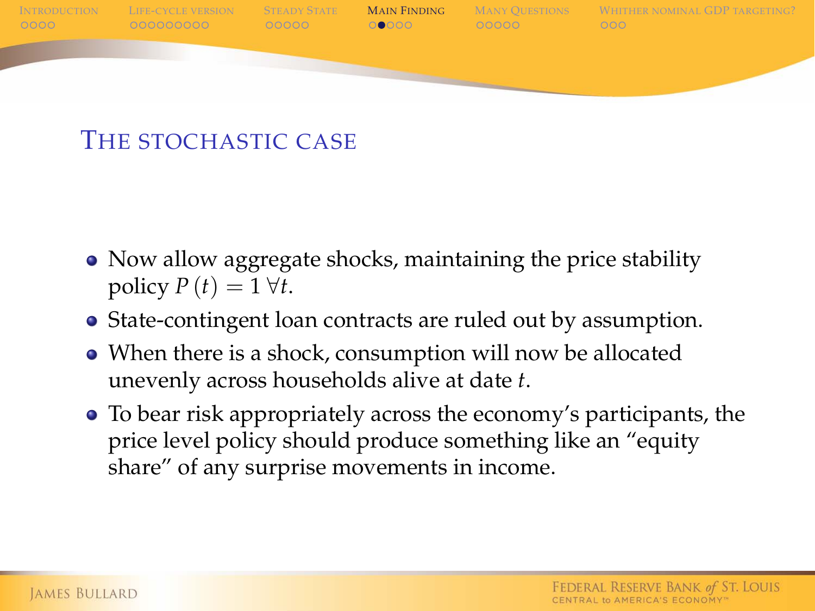

#### THE STOCHASTIC CASE

- Now allow aggregate shocks, maintaining the price stability policy  $P(t) = 1 \forall t$ .
- State-contingent loan contracts are ruled out by assumption.
- When there is a shock, consumption will now be allocated unevenly across households alive at date *t*.
- To bear risk appropriately across the economy's participants, the price level policy should produce something like an "equity share" of any surprise movements in income.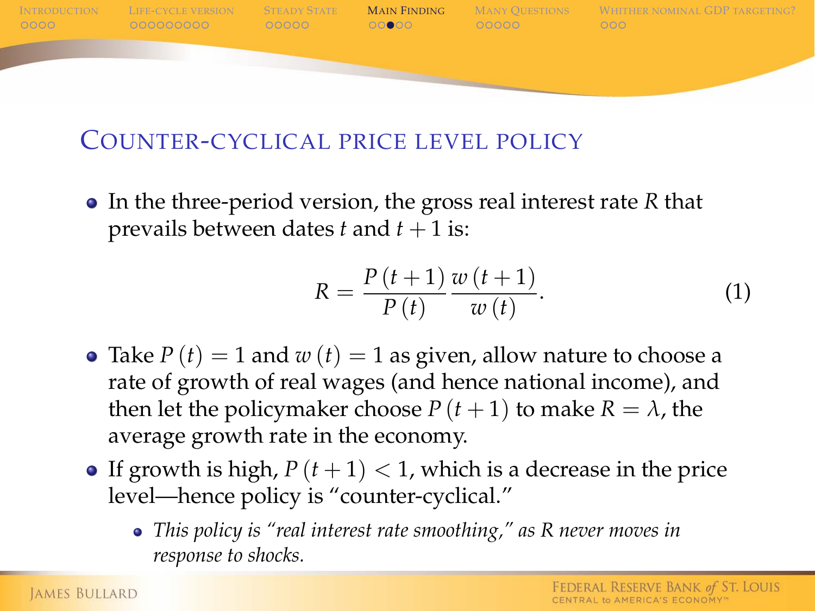

#### COUNTER-CYCLICAL PRICE LEVEL POLICY

In the three-period version, the gross real interest rate *R* that prevails between dates  $t$  and  $t + 1$  is:

$$
R = \frac{P(t+1)}{P(t)} \frac{w(t+1)}{w(t)}.
$$
 (1)

- Take  $P(t) = 1$  and  $w(t) = 1$  as given, allow nature to choose a rate of growth of real wages (and hence national income), and then let the policymaker choose  $P(t+1)$  to make  $R = \lambda$ , the average growth rate in the economy.
- **•** If growth is high,  $P(t+1) < 1$ , which is a decrease in the price level—hence policy is "counter-cyclical."
	- *This policy is "real interest rate smoothing," as R never moves in response to shocks.*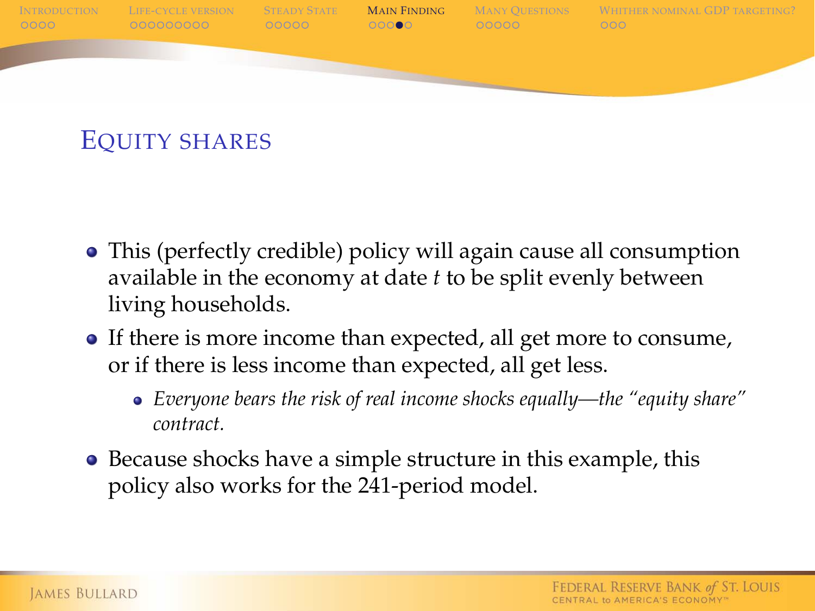

### EQUITY SHARES

- This (perfectly credible) policy will again cause all consumption available in the economy at date *t* to be split evenly between living households.
- If there is more income than expected, all get more to consume, or if there is less income than expected, all get less.
	- *Everyone bears the risk of real income shocks equally—the "equity share" contract.*
- Because shocks have a simple structure in this example, this policy also works for the 241-period model.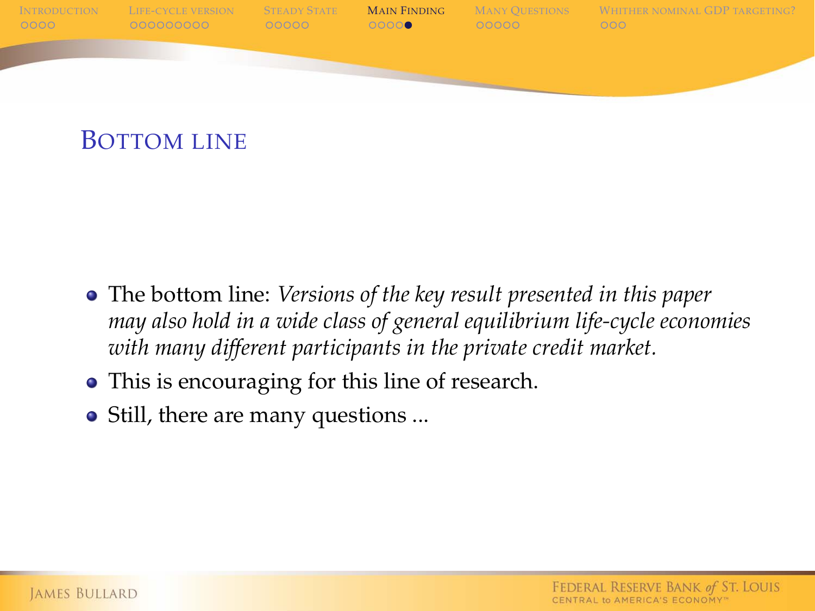

- The bottom line: *Versions of the key result presented in this paper may also hold in a wide class of general equilibrium life-cycle economies with many different participants in the private credit market.*
- This is encouraging for this line of research.
- Still, there are many questions ...

BOTTOM LINE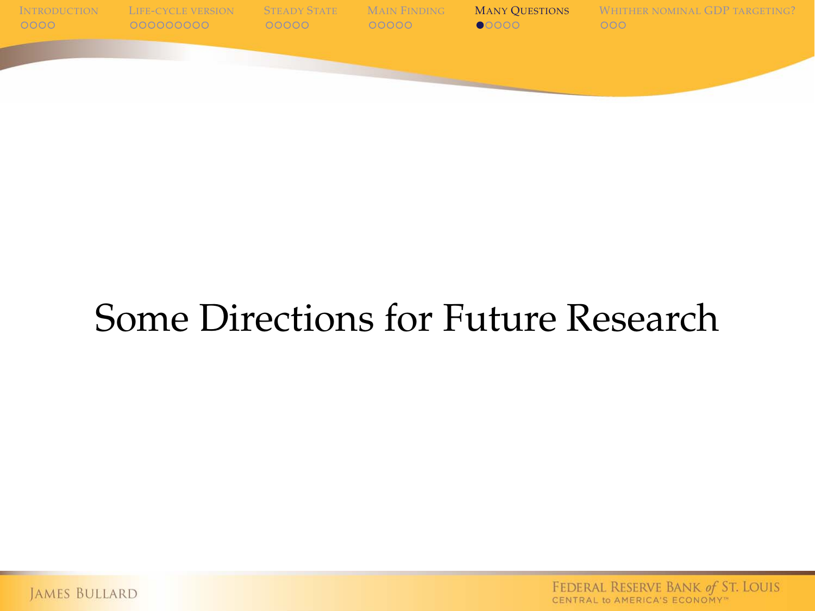

## Some Directions for Future Research

<span id="page-24-0"></span>JAMES BULLARD

FEDERAL RESERVE BANK of ST. LOUIS CENTRAL to AMERICA'S ECONOMY"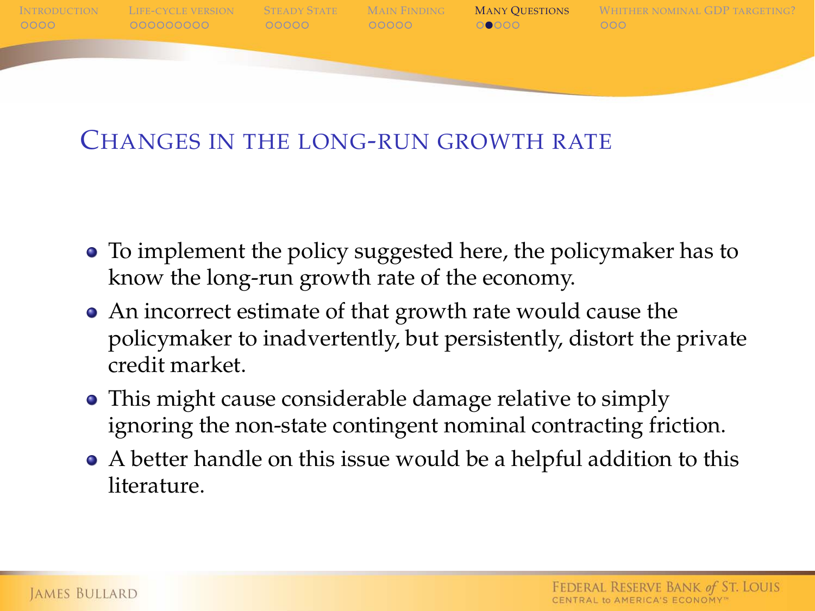

#### CHANGES IN THE LONG-RUN GROWTH RATE

- To implement the policy suggested here, the policymaker has to know the long-run growth rate of the economy.
- An incorrect estimate of that growth rate would cause the policymaker to inadvertently, but persistently, distort the private credit market.
- This might cause considerable damage relative to simply ignoring the non-state contingent nominal contracting friction.
- A better handle on this issue would be a helpful addition to this literature.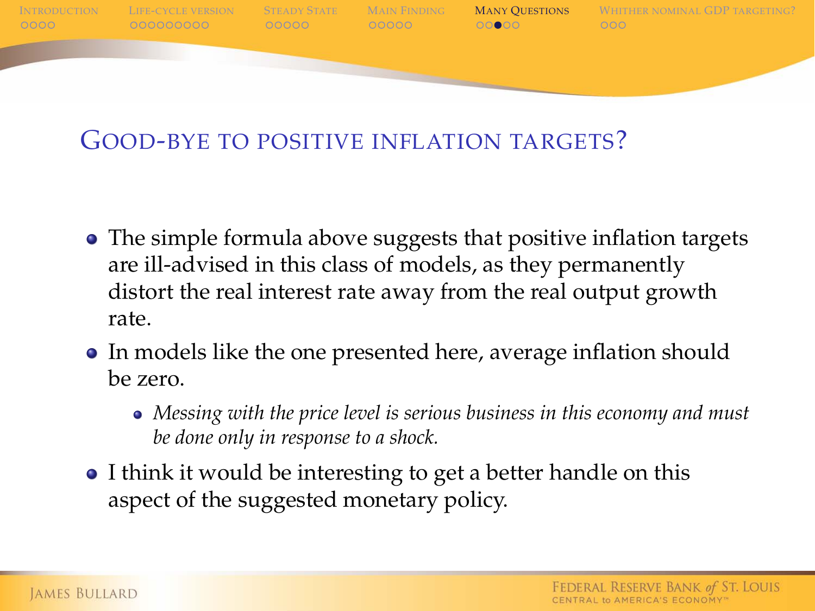

#### GOOD-BYE TO POSITIVE INFLATION TARGETS?

- The simple formula above suggests that positive inflation targets are ill-advised in this class of models, as they permanently distort the real interest rate away from the real output growth rate.
- In models like the one presented here, average inflation should be zero.
	- *Messing with the price level is serious business in this economy and must be done only in response to a shock.*
- I think it would be interesting to get a better handle on this aspect of the suggested monetary policy.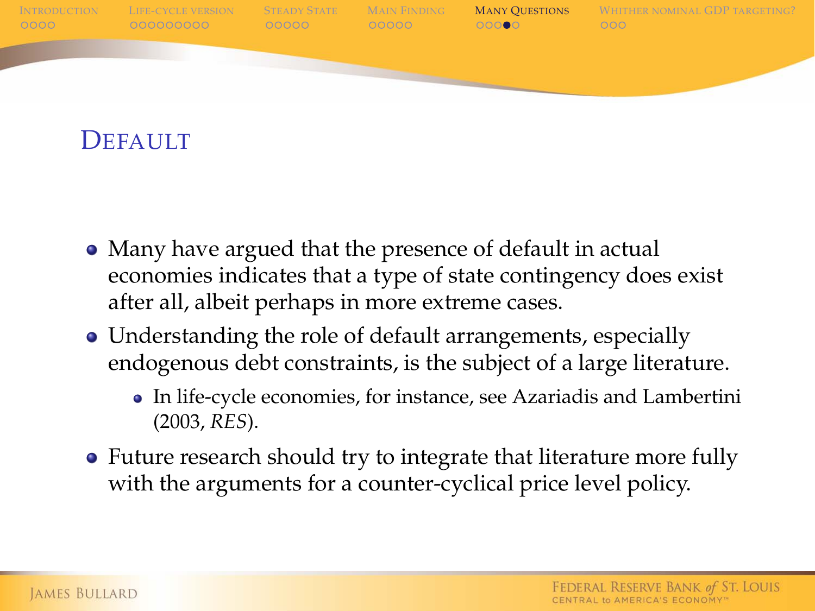

#### DEFAULT

- Many have argued that the presence of default in actual economies indicates that a type of state contingency does exist after all, albeit perhaps in more extreme cases.
- Understanding the role of default arrangements, especially endogenous debt constraints, is the subject of a large literature.
	- In life-cycle economies, for instance, see Azariadis and Lambertini (2003, *RES*).
- Future research should try to integrate that literature more fully with the arguments for a counter-cyclical price level policy.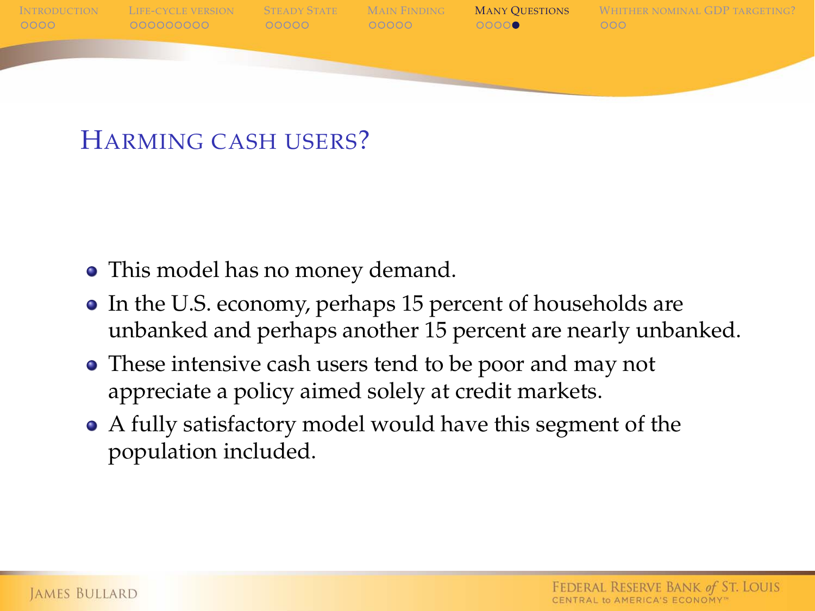

#### HARMING CASH USERS?

- This model has no money demand.
- In the U.S. economy, perhaps 15 percent of households are unbanked and perhaps another 15 percent are nearly unbanked.
- These intensive cash users tend to be poor and may not appreciate a policy aimed solely at credit markets.
- A fully satisfactory model would have this segment of the population included.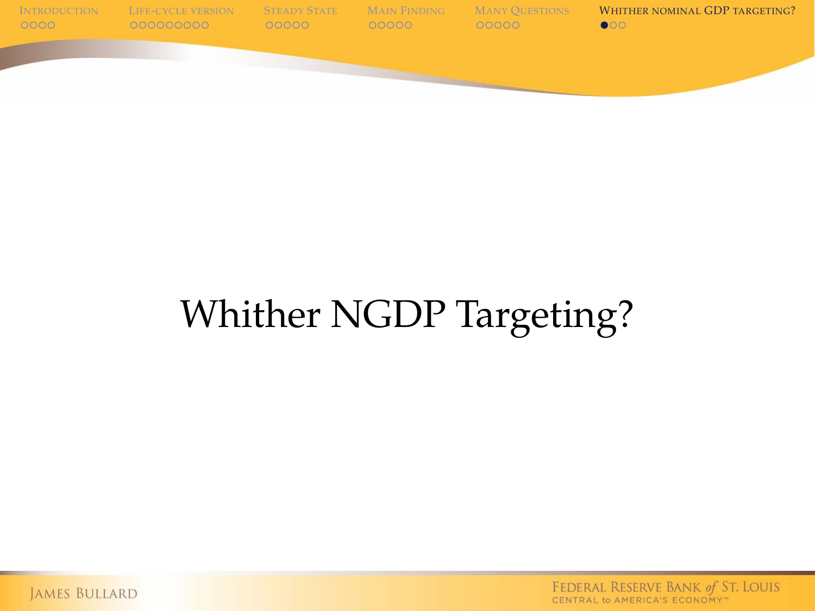

# Whither NGDP Targeting?

<span id="page-29-0"></span>JAMES BULLARD

FEDERAL RESERVE BANK of ST. LOUIS<br>CENTRAL to AMERICA'S ECONOMY"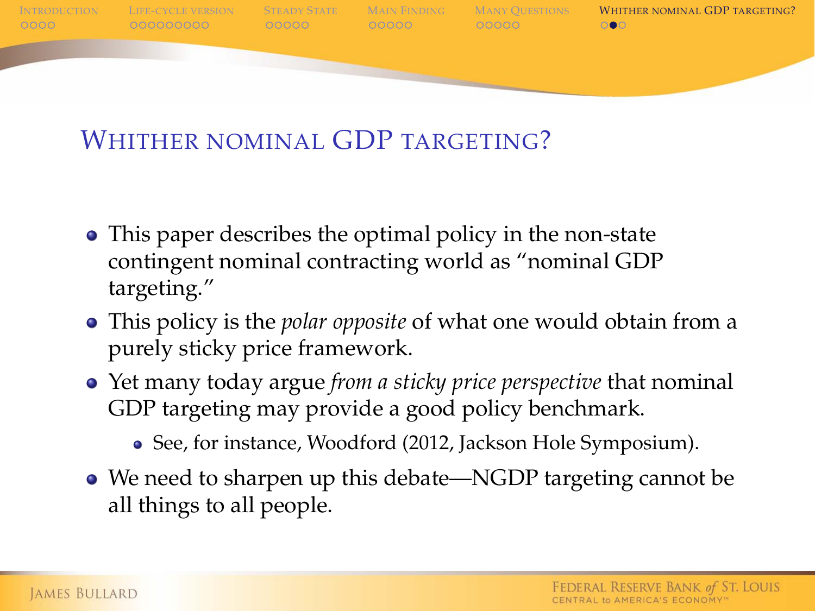

### WHITHER NOMINAL GDP TARGETING?

- This paper describes the optimal policy in the non-state contingent nominal contracting world as "nominal GDP targeting."
- This policy is the *polar opposite* of what one would obtain from a purely sticky price framework.
- Yet many today argue *from a sticky price perspective* that nominal GDP targeting may provide a good policy benchmark.

• See, for instance, Woodford (2012, Jackson Hole Symposium).

We need to sharpen up this debate—NGDP targeting cannot be all things to all people.